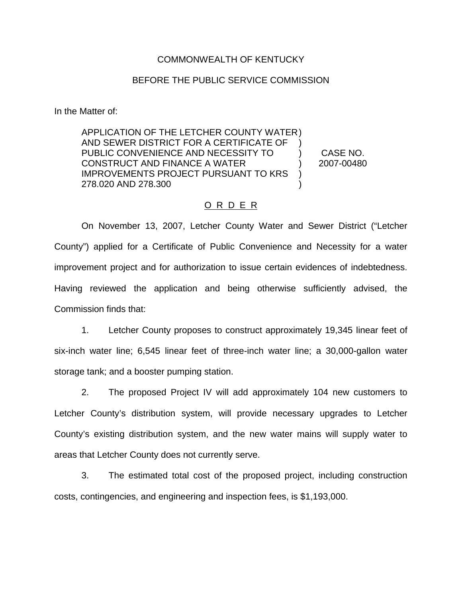## COMMONWEALTH OF KENTUCKY

## BEFORE THE PUBLIC SERVICE COMMISSION

In the Matter of:

APPLICATION OF THE LETCHER COUNTY WATER ) AND SEWER DISTRICT FOR A CERTIFICATE OF PUBLIC CONVENIENCE AND NECESSITY TO CONSTRUCT AND FINANCE A WATER IMPROVEMENTS PROJECT PURSUANT TO KRS 278.020 AND 278.300 ) ) )  $\lambda$ ) CASE NO. 2007-00480

## O R D E R

On November 13, 2007, Letcher County Water and Sewer District ("Letcher County") applied for a Certificate of Public Convenience and Necessity for a water improvement project and for authorization to issue certain evidences of indebtedness. Having reviewed the application and being otherwise sufficiently advised, the Commission finds that:

1. Letcher County proposes to construct approximately 19,345 linear feet of six-inch water line; 6,545 linear feet of three-inch water line; a 30,000-gallon water storage tank; and a booster pumping station.

2. The proposed Project IV will add approximately 104 new customers to Letcher County's distribution system, will provide necessary upgrades to Letcher County's existing distribution system, and the new water mains will supply water to areas that Letcher County does not currently serve.

3. The estimated total cost of the proposed project, including construction costs, contingencies, and engineering and inspection fees, is \$1,193,000.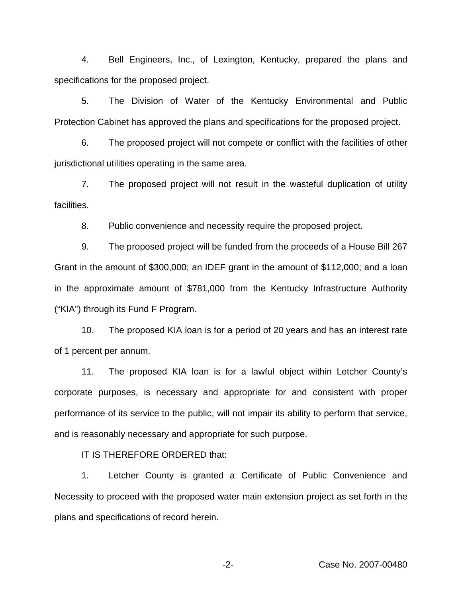4. Bell Engineers, Inc., of Lexington, Kentucky, prepared the plans and specifications for the proposed project.

5. The Division of Water of the Kentucky Environmental and Public Protection Cabinet has approved the plans and specifications for the proposed project.

6. The proposed project will not compete or conflict with the facilities of other jurisdictional utilities operating in the same area.

7. The proposed project will not result in the wasteful duplication of utility facilities.

8. Public convenience and necessity require the proposed project.

9. The proposed project will be funded from the proceeds of a House Bill 267 Grant in the amount of \$300,000; an IDEF grant in the amount of \$112,000; and a loan in the approximate amount of \$781,000 from the Kentucky Infrastructure Authority ("KIA") through its Fund F Program.

10. The proposed KIA loan is for a period of 20 years and has an interest rate of 1 percent per annum.

11. The proposed KIA loan is for a lawful object within Letcher County's corporate purposes, is necessary and appropriate for and consistent with proper performance of its service to the public, will not impair its ability to perform that service, and is reasonably necessary and appropriate for such purpose.

IT IS THEREFORE ORDERED that:

1. Letcher County is granted a Certificate of Public Convenience and Necessity to proceed with the proposed water main extension project as set forth in the plans and specifications of record herein.

-2- Case No. 2007-00480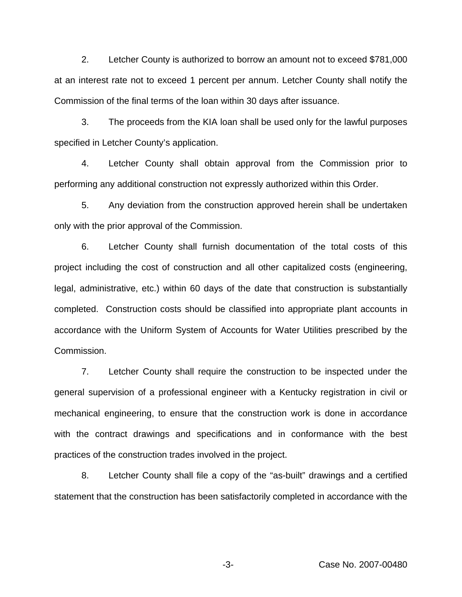2. Letcher County is authorized to borrow an amount not to exceed \$781,000 at an interest rate not to exceed 1 percent per annum. Letcher County shall notify the Commission of the final terms of the loan within 30 days after issuance.

3. The proceeds from the KIA loan shall be used only for the lawful purposes specified in Letcher County's application.

4. Letcher County shall obtain approval from the Commission prior to performing any additional construction not expressly authorized within this Order.

5. Any deviation from the construction approved herein shall be undertaken only with the prior approval of the Commission.

6. Letcher County shall furnish documentation of the total costs of this project including the cost of construction and all other capitalized costs (engineering, legal, administrative, etc.) within 60 days of the date that construction is substantially completed. Construction costs should be classified into appropriate plant accounts in accordance with the Uniform System of Accounts for Water Utilities prescribed by the Commission.

7. Letcher County shall require the construction to be inspected under the general supervision of a professional engineer with a Kentucky registration in civil or mechanical engineering, to ensure that the construction work is done in accordance with the contract drawings and specifications and in conformance with the best practices of the construction trades involved in the project.

8. Letcher County shall file a copy of the "as-built" drawings and a certified statement that the construction has been satisfactorily completed in accordance with the

-3- Case No. 2007-00480